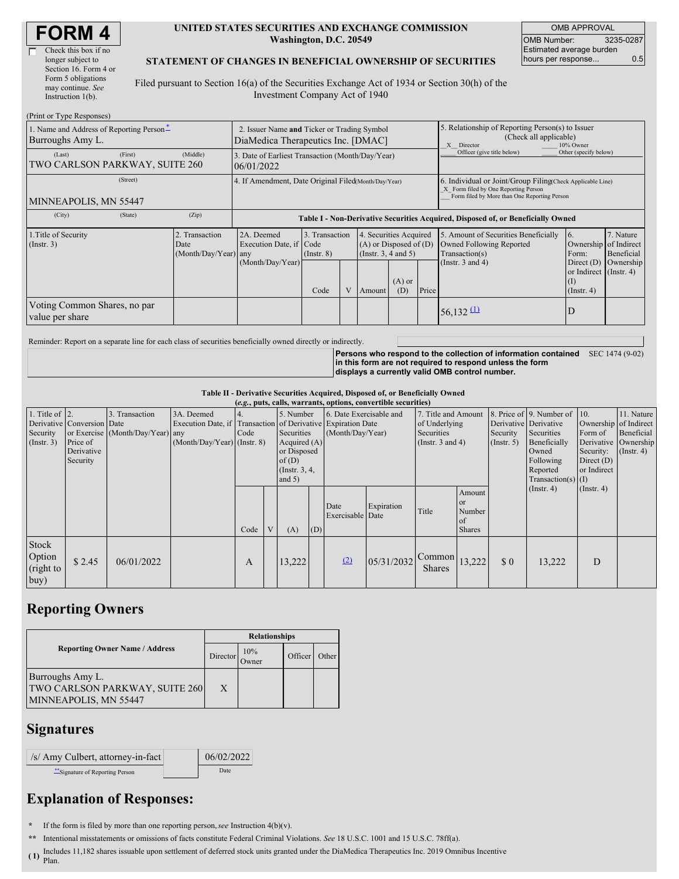| <b>FORM4</b> |
|--------------|
|--------------|

| Check this box if no  |
|-----------------------|
| longer subject to     |
| Section 16. Form 4 or |
| Form 5 obligations    |
| may continue. See     |
| Instruction 1(b).     |
|                       |

#### **UNITED STATES SECURITIES AND EXCHANGE COMMISSION Washington, D.C. 20549**

OMB APPROVAL OMB Number: 3235-0287 Estimated average burden hours per response... 0.5

### **STATEMENT OF CHANGES IN BENEFICIAL OWNERSHIP OF SECURITIES**

Filed pursuant to Section 16(a) of the Securities Exchange Act of 1934 or Section 30(h) of the Investment Company Act of 1940

| (Print or Type Responses)                                                                  |                                                                                   |                                                                                  |                                   |  |                                                                              |                 |                                                                                                                                                    |                                                                                    |                                                                |                         |
|--------------------------------------------------------------------------------------------|-----------------------------------------------------------------------------------|----------------------------------------------------------------------------------|-----------------------------------|--|------------------------------------------------------------------------------|-----------------|----------------------------------------------------------------------------------------------------------------------------------------------------|------------------------------------------------------------------------------------|----------------------------------------------------------------|-------------------------|
| 1. Name and Address of Reporting Person*<br>Burroughs Amy L.                               | 2. Issuer Name and Ticker or Trading Symbol<br>DiaMedica Therapeutics Inc. [DMAC] |                                                                                  |                                   |  |                                                                              |                 | 5. Relationship of Reporting Person(s) to Issuer<br>(Check all applicable)<br>X Director<br>10% Owner                                              |                                                                                    |                                                                |                         |
| (Last)<br>(First)<br>TWO CARLSON PARKWAY, SUITE 260                                        | (Middle)                                                                          | 3. Date of Earliest Transaction (Month/Day/Year)<br>06/01/2022                   |                                   |  |                                                                              |                 |                                                                                                                                                    | Officer (give title below)                                                         | Other (specify below)                                          |                         |
| (Street)<br>MINNEAPOLIS, MN 55447                                                          |                                                                                   | 4. If Amendment, Date Original Filed(Month/Day/Year)                             |                                   |  |                                                                              |                 | 6. Individual or Joint/Group Filing(Check Applicable Line)<br>X Form filed by One Reporting Person<br>Form filed by More than One Reporting Person |                                                                                    |                                                                |                         |
| (City)<br>(State)                                                                          | (Zip)                                                                             | Table I - Non-Derivative Securities Acquired, Disposed of, or Beneficially Owned |                                   |  |                                                                              |                 |                                                                                                                                                    |                                                                                    |                                                                |                         |
| 1. Title of Security<br>2. Transaction<br>$($ Instr. 3 $)$<br>Date<br>(Month/Day/Year) any |                                                                                   | 2A. Deemed<br>Execution Date, if Code                                            | 3. Transaction<br>$($ Instr. $8)$ |  | 4. Securities Acquired<br>$(A)$ or Disposed of $(D)$<br>(Insert. 3, 4 and 5) |                 |                                                                                                                                                    | 5. Amount of Securities Beneficially<br>Owned Following Reported<br>Transaction(s) | $\overline{6}$ .<br>Ownership of Indirect<br>Form:             | 7. Nature<br>Beneficial |
|                                                                                            |                                                                                   | (Month/Day/Year)                                                                 | Code                              |  | Amount                                                                       | $(A)$ or<br>(D) | Price                                                                                                                                              | (Instr. $3$ and $4$ )                                                              | Direct $(D)$<br>or Indirect (Instr. 4)<br>(I)<br>$($ Instr. 4) | Ownership               |
| Voting Common Shares, no par<br>value per share                                            |                                                                                   |                                                                                  |                                   |  |                                                                              |                 |                                                                                                                                                    | $56,132 \underline{11}$                                                            | ΙD                                                             |                         |

Reminder: Report on a separate line for each class of securities beneficially owned directly or indirectly.

**Persons who respond to the collection of information contained in this form are not required to respond unless the form displays a currently valid OMB control number.** SEC 1474 (9-02)

#### **Table II - Derivative Securities Acquired, Disposed of, or Beneficially Owned**

| (e.g., puts, calls, warrants, options, convertible securities) |                            |                                  |                                                              |      |   |                 |     |                          |            |                                           |               |                       |                          |                       |               |
|----------------------------------------------------------------|----------------------------|----------------------------------|--------------------------------------------------------------|------|---|-----------------|-----|--------------------------|------------|-------------------------------------------|---------------|-----------------------|--------------------------|-----------------------|---------------|
| 1. Title of $ 2$ .                                             |                            | 3. Transaction                   | 3A. Deemed                                                   |      |   | 5. Number       |     | 6. Date Exercisable and  |            | 7. Title and Amount                       |               |                       | 8. Price of 9. Number of | 10.                   | 11. Nature    |
|                                                                | Derivative Conversion Date |                                  | Execution Date, if Transaction of Derivative Expiration Date |      |   |                 |     |                          |            | of Underlying                             |               | Derivative Derivative |                          | Ownership of Indirect |               |
| Security                                                       |                            | or Exercise (Month/Day/Year) any |                                                              | Code |   | Securities      |     | (Month/Day/Year)         |            | Securities                                |               | Security              | Securities               | Form of               | Beneficial    |
| $($ Instr. 3 $)$                                               | Price of                   |                                  | $(Month/Day/Year)$ (Instr. 8)                                |      |   | Acquired $(A)$  |     | (Instr. 3 and 4)         |            | (Insert. 5)                               | Beneficially  | Derivative Ownership  |                          |                       |               |
|                                                                | Derivative                 |                                  |                                                              |      |   | or Disposed     |     |                          |            |                                           |               |                       | Owned                    | Security:             | $($ Instr. 4) |
|                                                                | Security                   |                                  |                                                              |      |   | of(D)           |     |                          |            |                                           |               | Following             | Direct $(D)$             |                       |               |
|                                                                |                            |                                  |                                                              |      |   | (Instr. $3, 4,$ |     |                          |            |                                           |               | Reported              | or Indirect              |                       |               |
|                                                                |                            |                                  |                                                              |      |   | and $5)$        |     |                          |            |                                           |               |                       | Transaction(s) $(I)$     |                       |               |
|                                                                |                            |                                  |                                                              |      |   |                 |     |                          |            |                                           | Amount        |                       | $($ Instr. 4 $)$         | $($ Instr. 4 $)$      |               |
|                                                                |                            |                                  |                                                              |      |   |                 |     |                          |            |                                           | <b>or</b>     |                       |                          |                       |               |
|                                                                |                            |                                  |                                                              |      |   |                 |     | Date<br>Exercisable Date | Expiration | Title                                     | Number        |                       |                          |                       |               |
|                                                                |                            |                                  |                                                              |      |   |                 |     |                          |            |                                           | <sub>of</sub> |                       |                          |                       |               |
|                                                                |                            |                                  |                                                              | Code | V | (A)             | (D) |                          |            |                                           | <b>Shares</b> |                       |                          |                       |               |
| Stock<br>Option<br>(right to                                   | \$2.45                     | 06/01/2022                       |                                                              | A    |   | 13,222          |     | (2)                      | 05/31/2032 | $\sim$ Common $ 13,222 $<br><b>Shares</b> |               | $\Omega$              | 13,222                   | D                     |               |
| buy)                                                           |                            |                                  |                                                              |      |   |                 |     |                          |            |                                           |               |                       |                          |                       |               |

## **Reporting Owners**

|                                                                                    | <b>Relationships</b> |              |         |       |  |  |  |  |
|------------------------------------------------------------------------------------|----------------------|--------------|---------|-------|--|--|--|--|
| <b>Reporting Owner Name / Address</b>                                              | Director             | 10%<br>Jwner | Officer | Other |  |  |  |  |
| Burroughs Amy L.<br><b>TWO CARLSON PARKWAY, SUITE 260</b><br>MINNEAPOLIS, MN 55447 | X                    |              |         |       |  |  |  |  |

## **Signatures**

| /s/ Amy Culbert, attorney-in-fact | 06/02/2022 |
|-----------------------------------|------------|
| Signature of Reporting Person     | Date       |

# **Explanation of Responses:**

**\*** If the form is filed by more than one reporting person,*see* Instruction 4(b)(v).

**\*\*** Intentional misstatements or omissions of facts constitute Federal Criminal Violations. *See* 18 U.S.C. 1001 and 15 U.S.C. 78ff(a).

 $(1)$   $\frac{m \times m}{P \times m}$ Includes 11,182 shares issuable upon settlement of deferred stock units granted under the DiaMedica Therapeutics Inc. 2019 Omnibus Incentive